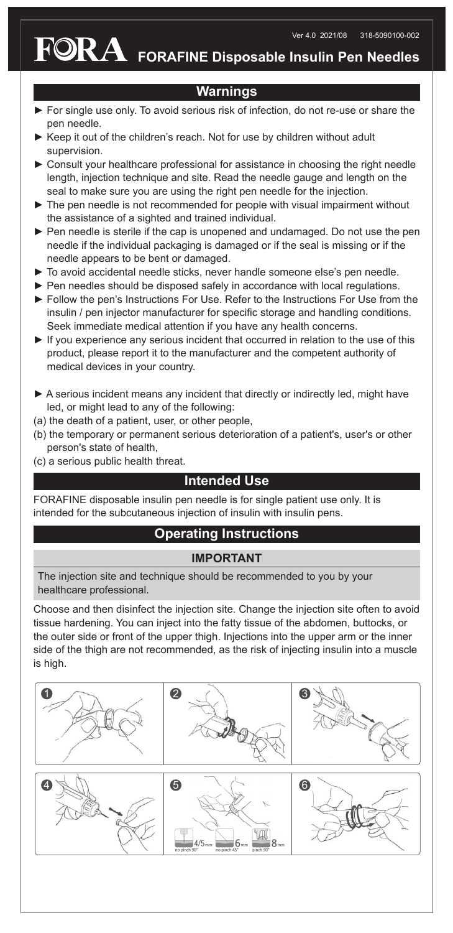**FORAFINE Disposable Insulin Pen Needles**

## **Warnings**

- ► For single use only. To avoid serious risk of infection, do not re-use or share the pen needle.
- ► Keep it out of the children's reach. Not for use by children without adult supervision.
- ► Consult your healthcare professional for assistance in choosing the right needle length, injection technique and site. Read the needle gauge and length on the seal to make sure you are using the right pen needle for the injection.
- ► The pen needle is not recommended for people with visual impairment without the assistance of a sighted and trained individual.
- ► Pen needle is sterile if the cap is unopened and undamaged. Do not use the pen needle if the individual packaging is damaged or if the seal is missing or if the needle appears to be bent or damaged.
- ► To avoid accidental needle sticks, never handle someone else's pen needle.
- ► Pen needles should be disposed safely in accordance with local regulations.
- ► Follow the pen's Instructions For Use. Refer to the Instructions For Use from the insulin / pen injector manufacturer for specific storage and handling conditions. Seek immediate medical attention if you have any health concerns.
- ► If you experience any serious incident that occurred in relation to the use of this product, please report it to the manufacturer and the competent authority of medical devices in your country.
- ▶ A serious incident means any incident that directly or indirectly led, might have led, or might lead to any of the following:
- (a) the death of a patient, user, or other people,
- (b) the temporary or permanent serious deterioration of a patient's, user's or other person's state of health,
- (c) a serious public health threat.

## **Intended Use**

FORAFINE disposable insulin pen needle is for single patient use only. It is intended for the subcutaneous injection of insulin with insulin pens.

## **Operating Instructions**

## **IMPORTANT**

The injection site and technique should be recommended to you by your healthcare professional.

Choose and then disinfect the injection site. Change the injection site often to avoid tissue hardening. You can inject into the fatty tissue of the abdomen, buttocks, or the outer side or front of the upper thigh. Injections into the upper arm or the inner side of the thigh are not recommended, as the risk of injecting insulin into a muscle is high.